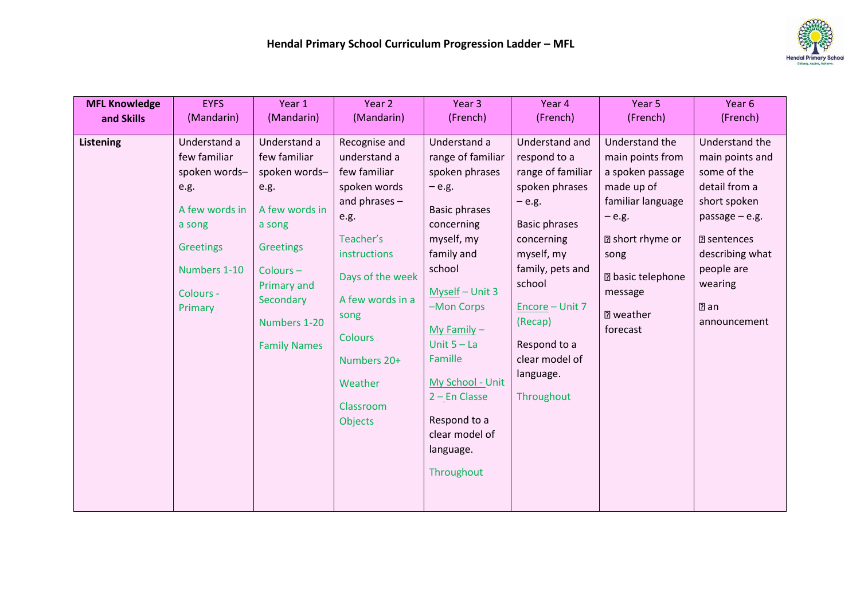

| <b>MFL Knowledge</b> | <b>EYFS</b>                                                                                                                                   | Year 1                                                                                                                                                                        | Year 2                                                                                                                                                                                                                                    | Year 3                                                                                                                                                                                                                                                                                                                        | Year 4                                                                                                                                                                                                                                                         | Year 5                                                                                                                                                                                                          | Year 6                                                                                                                                                                                                     |
|----------------------|-----------------------------------------------------------------------------------------------------------------------------------------------|-------------------------------------------------------------------------------------------------------------------------------------------------------------------------------|-------------------------------------------------------------------------------------------------------------------------------------------------------------------------------------------------------------------------------------------|-------------------------------------------------------------------------------------------------------------------------------------------------------------------------------------------------------------------------------------------------------------------------------------------------------------------------------|----------------------------------------------------------------------------------------------------------------------------------------------------------------------------------------------------------------------------------------------------------------|-----------------------------------------------------------------------------------------------------------------------------------------------------------------------------------------------------------------|------------------------------------------------------------------------------------------------------------------------------------------------------------------------------------------------------------|
| and Skills           | (Mandarin)                                                                                                                                    | (Mandarin)                                                                                                                                                                    | (Mandarin)                                                                                                                                                                                                                                | (French)                                                                                                                                                                                                                                                                                                                      | (French)                                                                                                                                                                                                                                                       | (French)                                                                                                                                                                                                        | (French)                                                                                                                                                                                                   |
| <b>Listening</b>     | Understand a<br>few familiar<br>spoken words-<br>e.g.<br>A few words in<br>a song<br><b>Greetings</b><br>Numbers 1-10<br>Colours -<br>Primary | Understand a<br>few familiar<br>spoken words-<br>e.g.<br>A few words in<br>a song<br>Greetings<br>Colours-<br>Primary and<br>Secondary<br>Numbers 1-20<br><b>Family Names</b> | Recognise and<br>understand a<br>few familiar<br>spoken words<br>and phrases $-$<br>e.g.<br>Teacher's<br>instructions<br>Days of the week<br>A few words in a<br>song<br><b>Colours</b><br>Numbers 20+<br>Weather<br>Classroom<br>Objects | Understand a<br>range of familiar<br>spoken phrases<br>$-$ e.g.<br><b>Basic phrases</b><br>concerning<br>myself, my<br>family and<br>school<br>Myself - Unit 3<br>-Mon Corps<br>My Family $-$<br>Unit $5 - La$<br>Famille<br>My School - Unit<br>$2$ – En Classe<br>Respond to a<br>clear model of<br>language.<br>Throughout | Understand and<br>respond to a<br>range of familiar<br>spoken phrases<br>$-$ e.g.<br><b>Basic phrases</b><br>concerning<br>myself, my<br>family, pets and<br>school<br>Encore - Unit 7<br>(Recap)<br>Respond to a<br>clear model of<br>language.<br>Throughout | Understand the<br>main points from<br>a spoken passage<br>made up of<br>familiar language<br>$-$ e.g.<br><b>图</b> short rhyme or<br>song<br><b>2 basic telephone</b><br>message<br><b>7</b> weather<br>forecast | Understand the<br>main points and<br>some of the<br>detail from a<br>short spoken<br>passage $-$ e.g.<br><b>图</b> sentences<br>describing what<br>people are<br>wearing<br>$\mathbb{Z}$ an<br>announcement |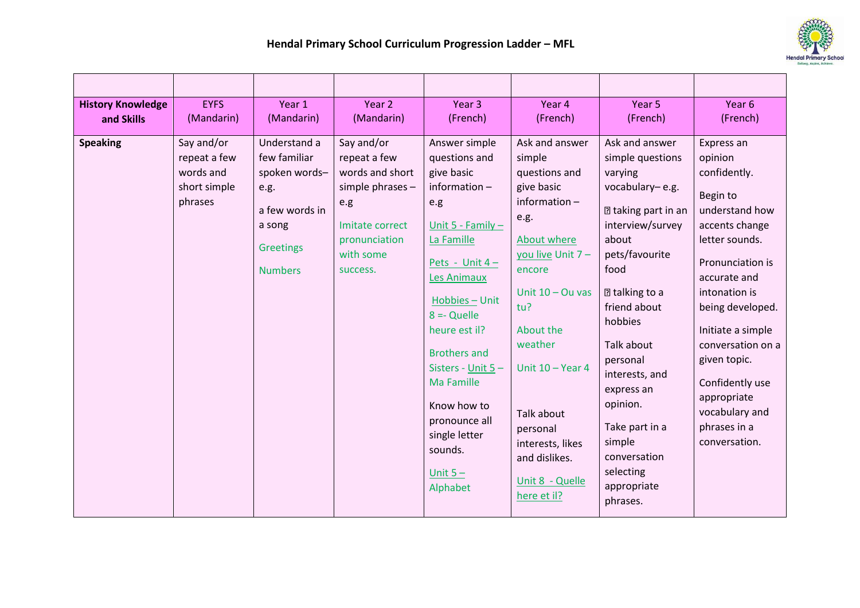

| <b>History Knowledge</b><br>and Skills | <b>EYFS</b><br>(Mandarin)                                          | Year 1<br>(Mandarin)                                                                                             | Year 2<br>(Mandarin)                                                                                                                  | Year <sub>3</sub><br>(French)                                                                                                                                                                                                                                                                                                                       | Year 4<br>(French)                                                                                                                                                                                                                                                                                           | Year 5<br>(French)                                                                                                                                                                                                                                                                                                                                                  | Year 6<br>(French)                                                                                                                                                                                                                                                                                                              |
|----------------------------------------|--------------------------------------------------------------------|------------------------------------------------------------------------------------------------------------------|---------------------------------------------------------------------------------------------------------------------------------------|-----------------------------------------------------------------------------------------------------------------------------------------------------------------------------------------------------------------------------------------------------------------------------------------------------------------------------------------------------|--------------------------------------------------------------------------------------------------------------------------------------------------------------------------------------------------------------------------------------------------------------------------------------------------------------|---------------------------------------------------------------------------------------------------------------------------------------------------------------------------------------------------------------------------------------------------------------------------------------------------------------------------------------------------------------------|---------------------------------------------------------------------------------------------------------------------------------------------------------------------------------------------------------------------------------------------------------------------------------------------------------------------------------|
| <b>Speaking</b>                        | Say and/or<br>repeat a few<br>words and<br>short simple<br>phrases | Understand a<br>few familiar<br>spoken words-<br>e.g.<br>a few words in<br>a song<br>Greetings<br><b>Numbers</b> | Say and/or<br>repeat a few<br>words and short<br>simple phrases -<br>e.g<br>Imitate correct<br>pronunciation<br>with some<br>success. | Answer simple<br>questions and<br>give basic<br>information $-$<br>e.g<br>Unit 5 - Family $-$<br>La Famille<br>Pets - Unit $4 -$<br>Les Animaux<br>Hobbies - Unit<br>$8 = Q$ uelle<br>heure est il?<br><b>Brothers and</b><br>Sisters - Unit 5-<br>Ma Famille<br>Know how to<br>pronounce all<br>single letter<br>sounds.<br>Unit $5 -$<br>Alphabet | Ask and answer<br>simple<br>questions and<br>give basic<br>information $-$<br>e.g.<br>About where<br>you live Unit 7 -<br>encore<br>Unit $10 - Qu$ vas<br>tu?<br>About the<br>weather<br>Unit $10 - Year 4$<br>Talk about<br>personal<br>interests, likes<br>and dislikes.<br>Unit 8 - Quelle<br>here et il? | Ask and answer<br>simple questions<br>varying<br>vocabulary-e.g.<br><b>2 taking part in an</b><br>interview/survey<br>about<br>pets/favourite<br>food<br><b>2 talking to a</b><br>friend about<br>hobbies<br>Talk about<br>personal<br>interests, and<br>express an<br>opinion.<br>Take part in a<br>simple<br>conversation<br>selecting<br>appropriate<br>phrases. | Express an<br>opinion<br>confidently.<br>Begin to<br>understand how<br>accents change<br>letter sounds.<br>Pronunciation is<br>accurate and<br>intonation is<br>being developed.<br>Initiate a simple<br>conversation on a<br>given topic.<br>Confidently use<br>appropriate<br>vocabulary and<br>phrases in a<br>conversation. |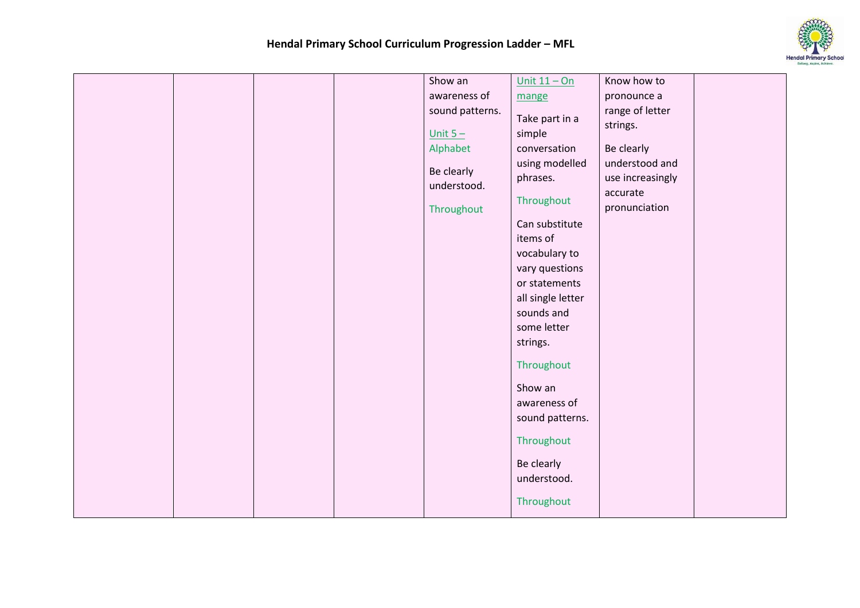

|  |  | Show an         | Unit $11 - On$    | Know how to      |  |
|--|--|-----------------|-------------------|------------------|--|
|  |  | awareness of    | mange             | pronounce a      |  |
|  |  | sound patterns. | Take part in a    | range of letter  |  |
|  |  |                 |                   | strings.         |  |
|  |  | Unit $5 -$      | simple            |                  |  |
|  |  | Alphabet        | conversation      | Be clearly       |  |
|  |  | Be clearly      | using modelled    | understood and   |  |
|  |  | understood.     | phrases.          | use increasingly |  |
|  |  |                 | Throughout        | accurate         |  |
|  |  | Throughout      |                   | pronunciation    |  |
|  |  |                 | Can substitute    |                  |  |
|  |  |                 | items of          |                  |  |
|  |  |                 | vocabulary to     |                  |  |
|  |  |                 | vary questions    |                  |  |
|  |  |                 | or statements     |                  |  |
|  |  |                 | all single letter |                  |  |
|  |  |                 | sounds and        |                  |  |
|  |  |                 | some letter       |                  |  |
|  |  |                 | strings.          |                  |  |
|  |  |                 | Throughout        |                  |  |
|  |  |                 | Show an           |                  |  |
|  |  |                 | awareness of      |                  |  |
|  |  |                 | sound patterns.   |                  |  |
|  |  |                 |                   |                  |  |
|  |  |                 | Throughout        |                  |  |
|  |  |                 | Be clearly        |                  |  |
|  |  |                 | understood.       |                  |  |
|  |  |                 |                   |                  |  |
|  |  |                 | Throughout        |                  |  |
|  |  |                 |                   |                  |  |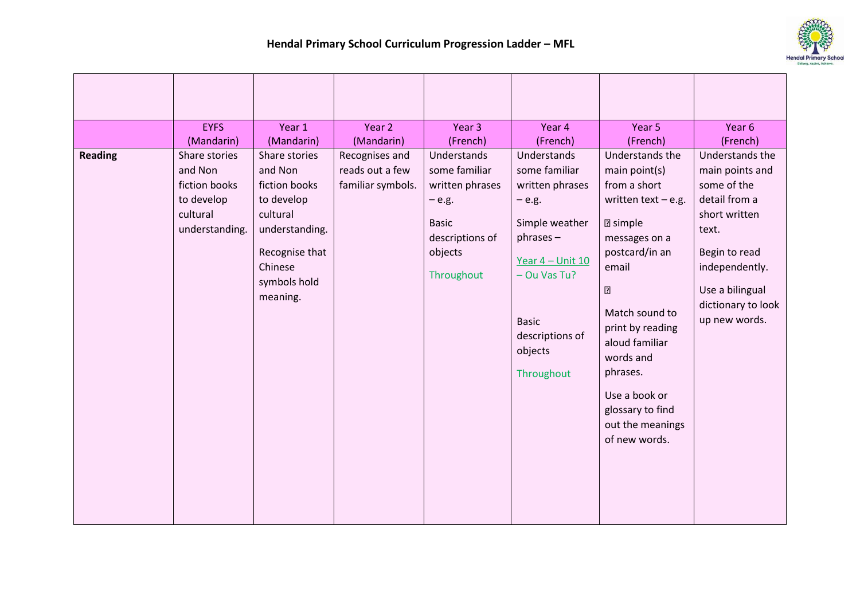

|                | <b>EYFS</b><br>(Mandarin)                                                             | Year 1<br>(Mandarin)                                                                                                                           | Year 2<br>(Mandarin)                                   | Year 3<br>(French)                                                                                                     | Year 4<br>(French)                                                                                                                                                                             | Year 5<br>(French)                                                                                                                                                                                                                                                                                       | Year 6<br>(French)                                                                                                                                                                        |
|----------------|---------------------------------------------------------------------------------------|------------------------------------------------------------------------------------------------------------------------------------------------|--------------------------------------------------------|------------------------------------------------------------------------------------------------------------------------|------------------------------------------------------------------------------------------------------------------------------------------------------------------------------------------------|----------------------------------------------------------------------------------------------------------------------------------------------------------------------------------------------------------------------------------------------------------------------------------------------------------|-------------------------------------------------------------------------------------------------------------------------------------------------------------------------------------------|
| <b>Reading</b> | Share stories<br>and Non<br>fiction books<br>to develop<br>cultural<br>understanding. | Share stories<br>and Non<br>fiction books<br>to develop<br>cultural<br>understanding.<br>Recognise that<br>Chinese<br>symbols hold<br>meaning. | Recognises and<br>reads out a few<br>familiar symbols. | Understands<br>some familiar<br>written phrases<br>$-e.g.$<br><b>Basic</b><br>descriptions of<br>objects<br>Throughout | Understands<br>some familiar<br>written phrases<br>$-$ e.g.<br>Simple weather<br>$phrases -$<br>Year $4$ – Unit 10<br>- Ou Vas Tu?<br><b>Basic</b><br>descriptions of<br>objects<br>Throughout | Understands the<br>main point(s)<br>from a short<br>written text $-$ e.g.<br><b>2</b> simple<br>messages on a<br>postcard/in an<br>email<br>?<br>Match sound to<br>print by reading<br>aloud familiar<br>words and<br>phrases.<br>Use a book or<br>glossary to find<br>out the meanings<br>of new words. | Understands the<br>main points and<br>some of the<br>detail from a<br>short written<br>text.<br>Begin to read<br>independently.<br>Use a bilingual<br>dictionary to look<br>up new words. |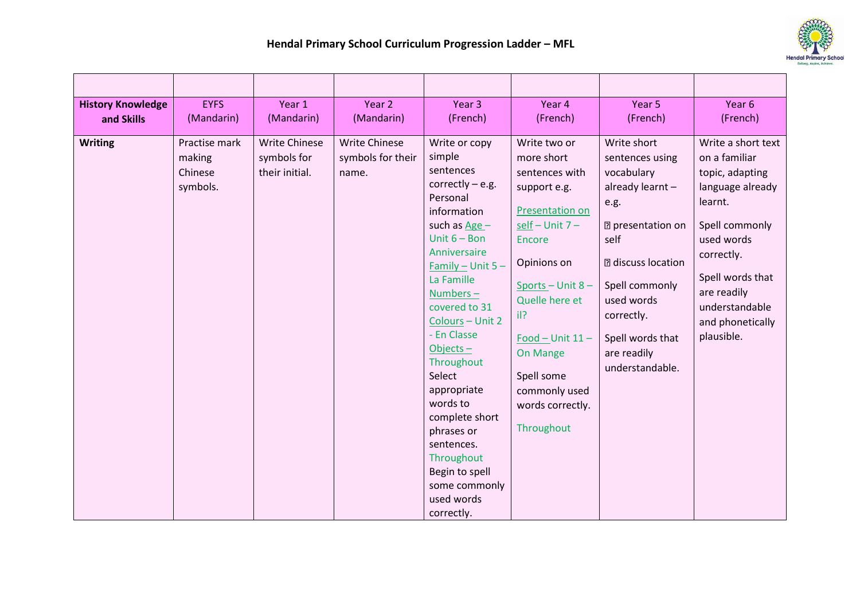

| <b>History Knowledge</b> | <b>EYFS</b>                                    | Year 1                                                | Year 2                                             | Year 3                                                                                                                                                                                                                                                                                                                                                                                                                         | Year 4                                                                                                                                                                                                                                                                                                | Year 5                                                                                                                                                                                                                                        | Year 6                                                                                                                                                                                                                     |
|--------------------------|------------------------------------------------|-------------------------------------------------------|----------------------------------------------------|--------------------------------------------------------------------------------------------------------------------------------------------------------------------------------------------------------------------------------------------------------------------------------------------------------------------------------------------------------------------------------------------------------------------------------|-------------------------------------------------------------------------------------------------------------------------------------------------------------------------------------------------------------------------------------------------------------------------------------------------------|-----------------------------------------------------------------------------------------------------------------------------------------------------------------------------------------------------------------------------------------------|----------------------------------------------------------------------------------------------------------------------------------------------------------------------------------------------------------------------------|
| and Skills               | (Mandarin)                                     | (Mandarin)                                            | (Mandarin)                                         | (French)                                                                                                                                                                                                                                                                                                                                                                                                                       | (French)                                                                                                                                                                                                                                                                                              | (French)                                                                                                                                                                                                                                      | (French)                                                                                                                                                                                                                   |
| <b>Writing</b>           | Practise mark<br>making<br>Chinese<br>symbols. | <b>Write Chinese</b><br>symbols for<br>their initial. | <b>Write Chinese</b><br>symbols for their<br>name. | Write or copy<br>simple<br>sentences<br>correctly $-$ e.g.<br>Personal<br>information<br>such as $Age -$<br>Unit $6 - Bon$<br>Anniversaire<br>$Family - Unit 5 -$<br>La Famille<br>Numbers-<br>covered to 31<br>Colours - Unit 2<br>- En Classe<br>Objects $-$<br>Throughout<br>Select<br>appropriate<br>words to<br>complete short<br>phrases or<br>sentences.<br>Throughout<br>Begin to spell<br>some commonly<br>used words | Write two or<br>more short<br>sentences with<br>support e.g.<br><b>Presentation on</b><br>$self-Unit 7-$<br><b>Encore</b><br>Opinions on<br>Sports $-$ Unit 8 $-$<br>Quelle here et<br>il?<br>Food $-$ Unit $11-$<br><b>On Mange</b><br>Spell some<br>commonly used<br>words correctly.<br>Throughout | Write short<br>sentences using<br>vocabulary<br>already learnt -<br>e.g.<br><b>7</b> presentation on<br>self<br><b>2</b> discuss location<br>Spell commonly<br>used words<br>correctly.<br>Spell words that<br>are readily<br>understandable. | Write a short text<br>on a familiar<br>topic, adapting<br>language already<br>learnt.<br>Spell commonly<br>used words<br>correctly.<br>Spell words that<br>are readily<br>understandable<br>and phonetically<br>plausible. |
|                          |                                                |                                                       |                                                    | correctly.                                                                                                                                                                                                                                                                                                                                                                                                                     |                                                                                                                                                                                                                                                                                                       |                                                                                                                                                                                                                                               |                                                                                                                                                                                                                            |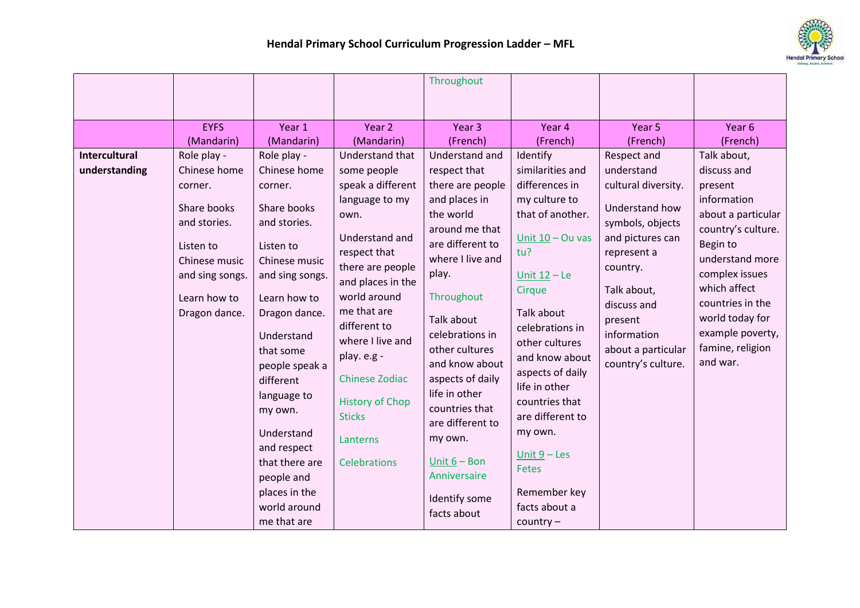

|                      |                               |                                                                                                                                                                                                 |                                                                                                                                                                       | Throughout                                                                                                                                                                                              |                                                                                                                                                                                                           |                                                                                   |                                                                                         |
|----------------------|-------------------------------|-------------------------------------------------------------------------------------------------------------------------------------------------------------------------------------------------|-----------------------------------------------------------------------------------------------------------------------------------------------------------------------|---------------------------------------------------------------------------------------------------------------------------------------------------------------------------------------------------------|-----------------------------------------------------------------------------------------------------------------------------------------------------------------------------------------------------------|-----------------------------------------------------------------------------------|-----------------------------------------------------------------------------------------|
|                      |                               |                                                                                                                                                                                                 |                                                                                                                                                                       |                                                                                                                                                                                                         |                                                                                                                                                                                                           |                                                                                   |                                                                                         |
|                      | <b>EYFS</b>                   | Year 1                                                                                                                                                                                          | Year 2                                                                                                                                                                | Year <sub>3</sub>                                                                                                                                                                                       | Year 4                                                                                                                                                                                                    | Year 5                                                                            | Year <sub>6</sub>                                                                       |
|                      | (Mandarin)                    | (Mandarin)                                                                                                                                                                                      | (Mandarin)                                                                                                                                                            | (French)                                                                                                                                                                                                | (French)                                                                                                                                                                                                  | (French)                                                                          | (French)                                                                                |
| <b>Intercultural</b> | Role play -                   | Role play -                                                                                                                                                                                     | Understand that                                                                                                                                                       | Understand and                                                                                                                                                                                          | Identify                                                                                                                                                                                                  | Respect and                                                                       | Talk about,                                                                             |
| understanding        | Chinese home                  | Chinese home                                                                                                                                                                                    | some people                                                                                                                                                           | respect that                                                                                                                                                                                            | similarities and                                                                                                                                                                                          | understand                                                                        | discuss and                                                                             |
|                      | corner.                       | corner.                                                                                                                                                                                         | speak a different                                                                                                                                                     | there are people                                                                                                                                                                                        | differences in                                                                                                                                                                                            | cultural diversity.                                                               | present                                                                                 |
|                      | Share books<br>and stories.   | Share books<br>and stories.                                                                                                                                                                     | language to my<br>own.                                                                                                                                                | and places in<br>the world<br>around me that                                                                                                                                                            | my culture to<br>that of another.                                                                                                                                                                         | Understand how<br>symbols, objects                                                | information<br>about a particular<br>country's culture.                                 |
|                      | Listen to<br>Chinese music    | Listen to<br>Chinese music                                                                                                                                                                      | Understand and<br>respect that<br>there are people                                                                                                                    | are different to<br>where I live and<br>play.                                                                                                                                                           | Unit $10 - Qu$ vas<br>tu?<br>Unit $12 - Le$                                                                                                                                                               | and pictures can<br>represent a<br>country.                                       | Begin to<br>understand more<br>complex issues                                           |
|                      | and sing songs.               | and sing songs.                                                                                                                                                                                 | and places in the<br>world around                                                                                                                                     |                                                                                                                                                                                                         | Cirque                                                                                                                                                                                                    | Talk about,                                                                       | which affect                                                                            |
|                      | Learn how to<br>Dragon dance. | Learn how to<br>Dragon dance.<br>Understand<br>that some<br>people speak a<br>different<br>language to<br>my own.<br>Understand<br>and respect<br>that there are<br>people and<br>places in the | me that are<br>different to<br>where I live and<br>play. e.g -<br><b>Chinese Zodiac</b><br><b>History of Chop</b><br><b>Sticks</b><br>Lanterns<br><b>Celebrations</b> | Throughout<br>Talk about<br>celebrations in<br>other cultures<br>and know about<br>aspects of daily<br>life in other<br>countries that<br>are different to<br>my own.<br>Unit $6 - Bon$<br>Anniversaire | Talk about<br>celebrations in<br>other cultures<br>and know about<br>aspects of daily<br>life in other<br>countries that<br>are different to<br>my own.<br>Unit $9 -$ Les<br><b>Fetes</b><br>Remember key | discuss and<br>present<br>information<br>about a particular<br>country's culture. | countries in the<br>world today for<br>example poverty,<br>famine, religion<br>and war. |
|                      |                               | world around<br>me that are                                                                                                                                                                     |                                                                                                                                                                       | Identify some<br>facts about                                                                                                                                                                            | facts about a<br>$country -$                                                                                                                                                                              |                                                                                   |                                                                                         |